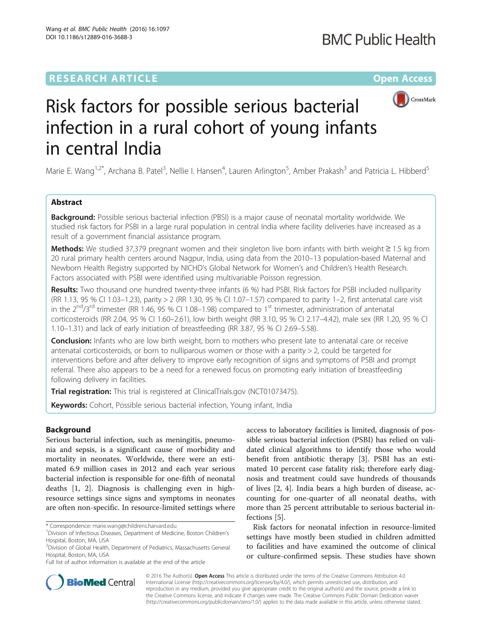# **RESEARCH ARTICLE External Structure Community Community Community Community Community Community Community Community**



# Risk factors for possible serious bacterial infection in a rural cohort of young infants in central India

Marie E. Wang<sup>1,2\*</sup>, Archana B. Patel<sup>3</sup>, Nellie I. Hansen<sup>4</sup>, Lauren Arlington<sup>5</sup>, Amber Prakash<sup>3</sup> and Patricia L. Hibberd<sup>5</sup>

# Abstract

**Background:** Possible serious bacterial infection (PBSI) is a major cause of neonatal mortality worldwide. We studied risk factors for PSBI in a large rural population in central India where facility deliveries have increased as a result of a government financial assistance program.

Methods: We studied 37,379 pregnant women and their singleton live born infants with birth weight ≥ 1.5 kg from 20 rural primary health centers around Nagpur, India, using data from the 2010–13 population-based Maternal and Newborn Health Registry supported by NICHD's Global Network for Women's and Children's Health Research. Factors associated with PSBI were identified using multivariable Poisson regression.

Results: Two thousand one hundred twenty-three infants (6 %) had PSBI. Risk factors for PSBI included nulliparity (RR 1.13, 95 % CI 1.03–1.23), parity > 2 (RR 1.30, 95 % CI 1.07–1.57) compared to parity 1–2, first antenatal care visit in the  $2^{nd}/3^{rd}$  trimester (RR 1.46, 95 % CI 1.08–1.98) compared to 1<sup>st</sup> trimester, administration of antenatal corticosteroids (RR 2.04, 95 % CI 1.60–2.61), low birth weight (RR 3.10, 95 % CI 2.17–4.42), male sex (RR 1.20, 95 % CI 1.10–1.31) and lack of early initiation of breastfeeding (RR 3.87, 95 % CI 2.69–5.58).

**Conclusion:** Infants who are low birth weight, born to mothers who present late to antenatal care or receive antenatal corticosteroids, or born to nulliparous women or those with a parity  $>$  2, could be targeted for interventions before and after delivery to improve early recognition of signs and symptoms of PSBI and prompt referral. There also appears to be a need for a renewed focus on promoting early initiation of breastfeeding following delivery in facilities.

Trial registration: This trial is registered at ClinicalTrials.gov [\(NCT01073475](https://clinicaltrials.gov/ct2/show/NCT01073475)).

Keywords: Cohort, Possible serious bacterial infection, Young infant, India

# Background

Serious bacterial infection, such as meningitis, pneumonia and sepsis, is a significant cause of morbidity and mortality in neonates. Worldwide, there were an estimated 6.9 million cases in 2012 and each year serious bacterial infection is responsible for one-fifth of neonatal deaths [[1, 2\]](#page-9-0). Diagnosis is challenging even in highresource settings since signs and symptoms in neonates are often non-specific. In resource-limited settings where

Full list of author information is available at the end of the article

access to laboratory facilities is limited, diagnosis of possible serious bacterial infection (PSBI) has relied on validated clinical algorithms to identify those who would benefit from antibiotic therapy [\[3](#page-9-0)]. PSBI has an estimated 10 percent case fatality risk; therefore early diagnosis and treatment could save hundreds of thousands of lives [\[2](#page-9-0), [4](#page-9-0)]. India bears a high burden of disease, accounting for one-quarter of all neonatal deaths, with more than 25 percent attributable to serious bacterial infections [[5\]](#page-9-0).

Risk factors for neonatal infection in resource-limited settings have mostly been studied in children admitted to facilities and have examined the outcome of clinical or culture-confirmed sepsis. These studies have shown



© 2016 The Author(s). Open Access This article is distributed under the terms of the Creative Commons Attribution 4.0 International License [\(http://creativecommons.org/licenses/by/4.0/](http://creativecommons.org/licenses/by/4.0/)), which permits unrestricted use, distribution, and reproduction in any medium, provided you give appropriate credit to the original author(s) and the source, provide a link to the Creative Commons license, and indicate if changes were made. The Creative Commons Public Domain Dedication waiver [\(http://creativecommons.org/publicdomain/zero/1.0/](http://creativecommons.org/publicdomain/zero/1.0/)) applies to the data made available in this article, unless otherwise stated.

<sup>\*</sup> Correspondence: [marie.wang@childrens.harvard.edu](mailto:marie.wang@childrens.harvard.edu) <sup>1</sup>

<sup>&</sup>lt;sup>1</sup> Division of Infectious Diseases, Department of Medicine, Boston Children's Hospital, Boston, MA, USA

<sup>&</sup>lt;sup>2</sup> Division of Global Health, Department of Pediatrics, Massachusetts General Hospital, Boston, MA, USA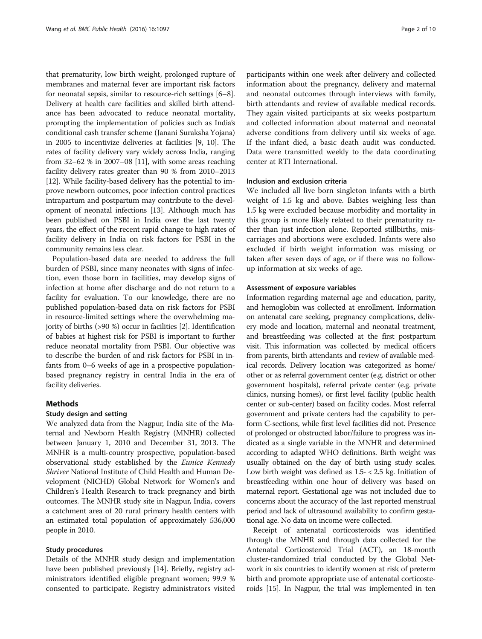that prematurity, low birth weight, prolonged rupture of membranes and maternal fever are important risk factors for neonatal sepsis, similar to resource-rich settings [[6](#page-9-0)–[8](#page-9-0)]. Delivery at health care facilities and skilled birth attendance has been advocated to reduce neonatal mortality, prompting the implementation of policies such as India's conditional cash transfer scheme (Janani Suraksha Yojana) in 2005 to incentivize deliveries at facilities [\[9](#page-9-0), [10](#page-9-0)]. The rates of facility delivery vary widely across India, ranging from 32–62 % in 2007–08 [[11](#page-9-0)], with some areas reaching facility delivery rates greater than 90 % from 2010–2013 [[12](#page-9-0)]. While facility-based delivery has the potential to improve newborn outcomes, poor infection control practices intrapartum and postpartum may contribute to the development of neonatal infections [[13](#page-9-0)]. Although much has been published on PSBI in India over the last twenty years, the effect of the recent rapid change to high rates of facility delivery in India on risk factors for PSBI in the community remains less clear.

Population-based data are needed to address the full burden of PSBI, since many neonates with signs of infection, even those born in facilities, may develop signs of infection at home after discharge and do not return to a facility for evaluation. To our knowledge, there are no published population-based data on risk factors for PSBI in resource-limited settings where the overwhelming majority of births (>90 %) occur in facilities [\[2](#page-9-0)]. Identification of babies at highest risk for PSBI is important to further reduce neonatal mortality from PSBI. Our objective was to describe the burden of and risk factors for PSBI in infants from 0–6 weeks of age in a prospective populationbased pregnancy registry in central India in the era of facility deliveries.

# Methods

# Study design and setting

We analyzed data from the Nagpur, India site of the Maternal and Newborn Health Registry (MNHR) collected between January 1, 2010 and December 31, 2013. The MNHR is a multi-country prospective, population-based observational study established by the Eunice Kennedy Shriver National Institute of Child Health and Human Development (NICHD) Global Network for Women's and Children's Health Research to track pregnancy and birth outcomes. The MNHR study site in Nagpur, India, covers a catchment area of 20 rural primary health centers with an estimated total population of approximately 536,000 people in 2010.

# Study procedures

Details of the MNHR study design and implementation have been published previously [[14\]](#page-9-0). Briefly, registry administrators identified eligible pregnant women; 99.9 % consented to participate. Registry administrators visited

participants within one week after delivery and collected information about the pregnancy, delivery and maternal and neonatal outcomes through interviews with family, birth attendants and review of available medical records. They again visited participants at six weeks postpartum and collected information about maternal and neonatal adverse conditions from delivery until six weeks of age. If the infant died, a basic death audit was conducted. Data were transmitted weekly to the data coordinating center at RTI International.

# Inclusion and exclusion criteria

We included all live born singleton infants with a birth weight of 1.5 kg and above. Babies weighing less than 1.5 kg were excluded because morbidity and mortality in this group is more likely related to their prematurity rather than just infection alone. Reported stillbirths, miscarriages and abortions were excluded. Infants were also excluded if birth weight information was missing or taken after seven days of age, or if there was no followup information at six weeks of age.

#### Assessment of exposure variables

Information regarding maternal age and education, parity, and hemoglobin was collected at enrollment. Information on antenatal care seeking, pregnancy complications, delivery mode and location, maternal and neonatal treatment, and breastfeeding was collected at the first postpartum visit. This information was collected by medical officers from parents, birth attendants and review of available medical records. Delivery location was categorized as home/ other or as referral government center (e.g. district or other government hospitals), referral private center (e.g. private clinics, nursing homes), or first level facility (public health center or sub-center) based on facility codes. Most referral government and private centers had the capability to perform C-sections, while first level facilities did not. Presence of prolonged or obstructed labor/failure to progress was indicated as a single variable in the MNHR and determined according to adapted WHO definitions. Birth weight was usually obtained on the day of birth using study scales. Low birth weight was defined as 1.5- < 2.5 kg. Initiation of breastfeeding within one hour of delivery was based on maternal report. Gestational age was not included due to concerns about the accuracy of the last reported menstrual period and lack of ultrasound availability to confirm gestational age. No data on income were collected.

Receipt of antenatal corticosteroids was identified through the MNHR and through data collected for the Antenatal Corticosteroid Trial (ACT), an 18-month cluster-randomized trial conducted by the Global Network in six countries to identify women at risk of preterm birth and promote appropriate use of antenatal corticosteroids [\[15\]](#page-9-0). In Nagpur, the trial was implemented in ten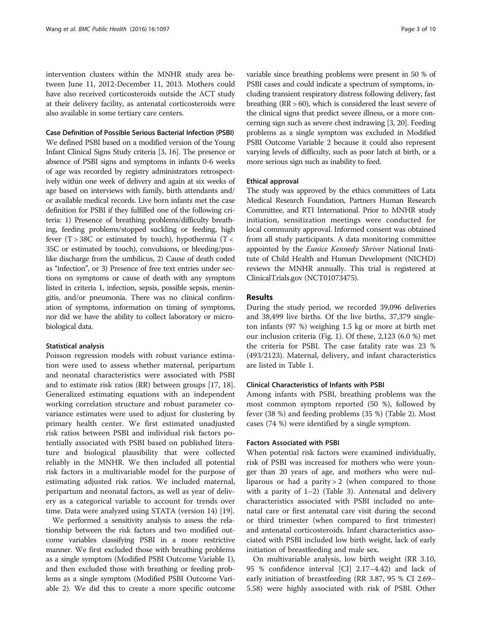intervention clusters within the MNHR study area between June 11, 2012-December 11, 2013. Mothers could have also received corticosteroids outside the ACT study at their delivery facility, as antenatal corticosteroids were also available in some tertiary care centers.

Case Definition of Possible Serious Bacterial Infection (PSBI)

We defined PSBI based on a modified version of the Young Infant Clinical Signs Study criteria [\[3](#page-9-0), [16\]](#page-9-0). The presence or absence of PSBI signs and symptoms in infants 0-6 weeks of age was recorded by registry administrators retrospectively within one week of delivery and again at six weeks of age based on interviews with family, birth attendants and/ or available medical records. Live born infants met the case definition for PSBI if they fulfilled one of the following criteria: 1) Presence of breathing problems/difficulty breathing, feeding problems/stopped suckling or feeding, high fever  $(T > 38C)$  or estimated by touch), hypothermia  $(T <$ 35C or estimated by touch), convulsions, or bleeding/puslike discharge from the umbilicus, 2) Cause of death coded as "infection", or 3) Presence of free text entries under sections on symptoms or cause of death with any symptom listed in criteria 1, infection, sepsis, possible sepsis, meningitis, and/or pneumonia. There was no clinical confirmation of symptoms, information on timing of symptoms, nor did we have the ability to collect laboratory or microbiological data.

#### Statistical analysis

Poisson regression models with robust variance estimation were used to assess whether maternal, peripartum and neonatal characteristics were associated with PSBI and to estimate risk ratios (RR) between groups [\[17](#page-9-0), [18](#page-9-0)]. Generalized estimating equations with an independent working correlation structure and robust parameter covariance estimates were used to adjust for clustering by primary health center. We first estimated unadjusted risk ratios between PSBI and individual risk factors potentially associated with PSBI based on published literature and biological plausibility that were collected reliably in the MNHR. We then included all potential risk factors in a multivariable model for the purpose of estimating adjusted risk ratios. We included maternal, peripartum and neonatal factors, as well as year of delivery as a categorical variable to account for trends over time. Data were analyzed using STATA (version 14) [[19\]](#page-9-0).

We performed a sensitivity analysis to assess the relationship between the risk factors and two modified outcome variables classifying PSBI in a more restrictive manner. We first excluded those with breathing problems as a single symptom (Modified PSBI Outcome Variable 1), and then excluded those with breathing or feeding problems as a single symptom (Modified PSBI Outcome Variable 2). We did this to create a more specific outcome variable since breathing problems were present in 50 % of PSBI cases and could indicate a spectrum of symptoms, including transient respiratory distress following delivery, fast breathing (RR > 60), which is considered the least severe of the clinical signs that predict severe illness, or a more concerning sign such as severe chest indrawing [\[3](#page-9-0), [20](#page-9-0)]. Feeding problems as a single symptom was excluded in Modified PSBI Outcome Variable 2 because it could also represent varying levels of difficulty, such as poor latch at birth, or a more serious sign such as inability to feed.

## Ethical approval

The study was approved by the ethics committees of Lata Medical Research Foundation, Partners Human Research Committee, and RTI International. Prior to MNHR study initiation, sensitization meetings were conducted for local community approval. Informed consent was obtained from all study participants. A data monitoring committee appointed by the Eunice Kennedy Shriver National Institute of Child Health and Human Development (NICHD) reviews the MNHR annually. This trial is registered at ClinicalTrials.gov (NCT01073475).

# Results

During the study period, we recorded 39,096 deliveries and 38,499 live births. Of the live births, 37,379 singleton infants (97 %) weighing 1.5 kg or more at birth met our inclusion criteria (Fig. [1](#page-3-0)). Of these, 2,123 (6.0 %) met the criteria for PSBI. The case fatality rate was 23 % (493/2123). Maternal, delivery, and infant characteristics are listed in Table [1.](#page-4-0)

# Clinical Characteristics of Infants with PSBI

Among infants with PSBI, breathing problems was the most common symptom reported (50 %), followed by fever (38 %) and feeding problems (35 %) (Table [2](#page-5-0)). Most cases (74 %) were identified by a single symptom.

# Factors Associated with PSBI

When potential risk factors were examined individually, risk of PSBI was increased for mothers who were younger than 20 years of age, and mothers who were nulliparous or had a parity  $> 2$  (when compared to those with a parity of  $1-2$ ) (Table [3\)](#page-6-0). Antenatal and delivery characteristics associated with PSBI included no antenatal care or first antenatal care visit during the second or third trimester (when compared to first trimester) and antenatal corticosteroids. Infant characteristics associated with PSBI included low birth weight, lack of early initiation of breastfeeding and male sex.

On multivariable analysis, low birth weight (RR 3.10, 95 % confidence interval [CI] 2.17–4.42) and lack of early initiation of breastfeeding (RR 3.87, 95 % CI 2.69– 5.58) were highly associated with risk of PSBI. Other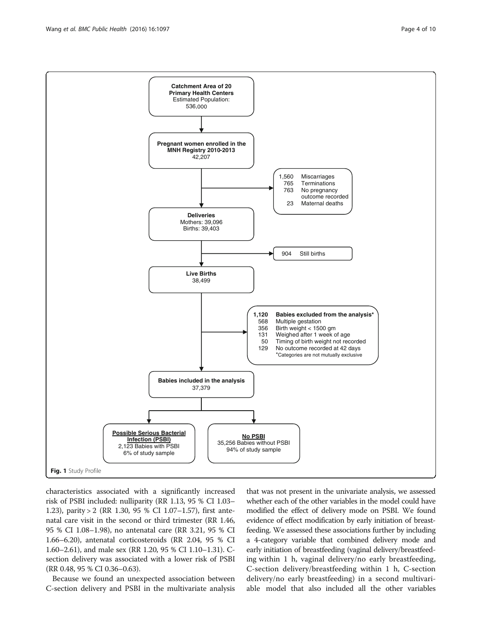<span id="page-3-0"></span>

characteristics associated with a significantly increased risk of PSBI included: nulliparity (RR 1.13, 95 % CI 1.03– 1.23), parity > 2 (RR 1.30, 95 % CI 1.07–1.57), first antenatal care visit in the second or third trimester (RR 1.46, 95 % CI 1.08–1.98), no antenatal care (RR 3.21, 95 % CI 1.66–6.20), antenatal corticosteroids (RR 2.04, 95 % CI 1.60–2.61), and male sex (RR 1.20, 95 % CI 1.10–1.31). Csection delivery was associated with a lower risk of PSBI (RR 0.48, 95 % CI 0.36–0.63).

Because we found an unexpected association between C-section delivery and PSBI in the multivariate analysis that was not present in the univariate analysis, we assessed whether each of the other variables in the model could have modified the effect of delivery mode on PSBI. We found evidence of effect modification by early initiation of breastfeeding. We assessed these associations further by including a 4-category variable that combined delivery mode and early initiation of breastfeeding (vaginal delivery/breastfeeding within 1 h, vaginal delivery/no early breastfeeding, C-section delivery/breastfeeding within 1 h, C-section delivery/no early breastfeeding) in a second multivariable model that also included all the other variables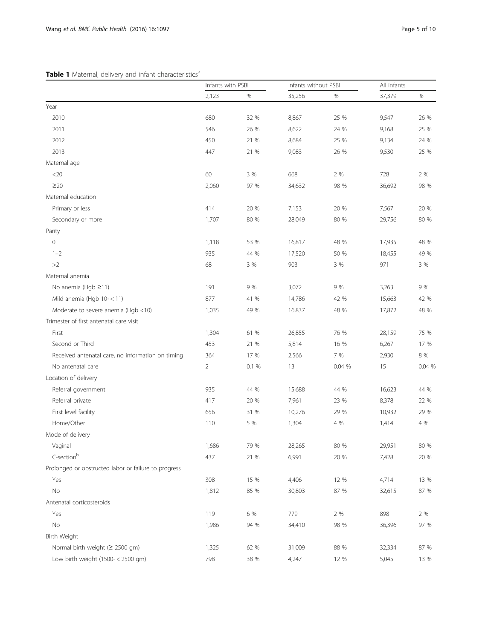# <span id="page-4-0"></span>Table 1 Maternal, delivery and infant characteristics<sup>a</sup>

|                                                      |                | Infants with PSBI |        | Infants without PSBI |        | All infants |  |
|------------------------------------------------------|----------------|-------------------|--------|----------------------|--------|-------------|--|
|                                                      | 2,123          | $\%$              | 35,256 | %                    | 37,379 | $\%$        |  |
| Year                                                 |                |                   |        |                      |        |             |  |
| 2010                                                 | 680            | 32 %              | 8,867  | 25 %                 | 9,547  | 26 %        |  |
| 2011                                                 | 546            | 26 %              | 8,622  | 24 %                 | 9,168  | 25 %        |  |
| 2012                                                 | 450            | 21 %              | 8,684  | 25 %                 | 9,134  | 24 %        |  |
| 2013                                                 | 447            | 21 %              | 9,083  | 26 %                 | 9,530  | 25 %        |  |
| Maternal age                                         |                |                   |        |                      |        |             |  |
| $<$ 20                                               | 60             | 3 %               | 668    | 2 %                  | 728    | 2 %         |  |
| $\geq$ 20                                            | 2,060          | 97 %              | 34,632 | 98 %                 | 36,692 | 98 %        |  |
| Maternal education                                   |                |                   |        |                      |        |             |  |
| Primary or less                                      | 414            | 20 %              | 7,153  | 20 %                 | 7,567  | 20 %        |  |
| Secondary or more                                    | 1,707          | 80 %              | 28,049 | 80 %                 | 29,756 | 80 %        |  |
| Parity                                               |                |                   |        |                      |        |             |  |
| $\circ$                                              | 1,118          | 53 %              | 16,817 | 48 %                 | 17,935 | 48 %        |  |
| $1 - 2$                                              | 935            | 44 %              | 17,520 | 50 %                 | 18,455 | 49 %        |  |
| >2                                                   | 68             | 3 %               | 903    | 3 %                  | 971    | 3 %         |  |
| Maternal anemia                                      |                |                   |        |                      |        |             |  |
| No anemia (Hgb ≥11)                                  | 191            | 9 %               | 3,072  | 9 %                  | 3,263  | 9 %         |  |
| Mild anemia (Hgb $10 - < 11$ )                       | 877            | 41 %              | 14,786 | 42 %                 | 15,663 | 42 %        |  |
| Moderate to severe anemia (Hgb <10)                  | 1,035          | 49 %              | 16,837 | 48 %                 | 17,872 | 48 %        |  |
| Trimester of first antenatal care visit              |                |                   |        |                      |        |             |  |
| First                                                | 1,304          | 61 %              | 26,855 | 76 %                 | 28,159 | 75 %        |  |
| Second or Third                                      | 453            | 21 %              | 5,814  | 16 %                 | 6,267  | 17 %        |  |
| Received antenatal care, no information on timing    | 364            | 17 %              | 2,566  | 7 %                  | 2,930  | $8\ \%$     |  |
| No antenatal care                                    | $\overline{2}$ | 0.1%              | 13     | 0.04 %               | 15     | 0.04%       |  |
| Location of delivery                                 |                |                   |        |                      |        |             |  |
| Referral government                                  | 935            | 44 %              | 15,688 | 44 %                 | 16,623 | 44 %        |  |
| Referral private                                     | 417            | 20 %              | 7,961  | 23 %                 | 8,378  | 22 %        |  |
| First level facility                                 | 656            | 31 %              | 10,276 | 29 %                 | 10,932 | 29 %        |  |
| Home/Other                                           | 110            | 5 %               | 1,304  | 4 %                  | 1,414  | 4 %         |  |
| Mode of delivery                                     |                |                   |        |                      |        |             |  |
| Vaginal                                              | 1,686          | 79 %              | 28,265 | 80 %                 | 29,951 | 80 %        |  |
| C-section <sup>b</sup>                               | 437            | 21 %              | 6,991  | 20 %                 | 7,428  | 20 %        |  |
| Prolonged or obstructed labor or failure to progress |                |                   |        |                      |        |             |  |
| Yes                                                  | 308            | 15 %              | 4,406  | 12 %                 | 4,714  | 13 %        |  |
| $\rm No$                                             | 1,812          | 85 %              | 30,803 | 87 %                 | 32,615 | 87 %        |  |
| Antenatal corticosteroids                            |                |                   |        |                      |        |             |  |
| Yes                                                  | 119            | 6 %               | 779    | 2 %                  | 898    | 2 %         |  |
| $\rm No$                                             | 1,986          | 94 %              | 34,410 | 98 %                 | 36,396 | 97 %        |  |
| Birth Weight                                         |                |                   |        |                      |        |             |  |
| Normal birth weight ( $\geq$ 2500 gm)                | 1,325          | 62 %              | 31,009 | 88 %                 | 32,334 | 87 %        |  |
| Low birth weight (1500- < 2500 gm)                   | 798            | 38 %              | 4,247  | 12 %                 | 5,045  | 13 %        |  |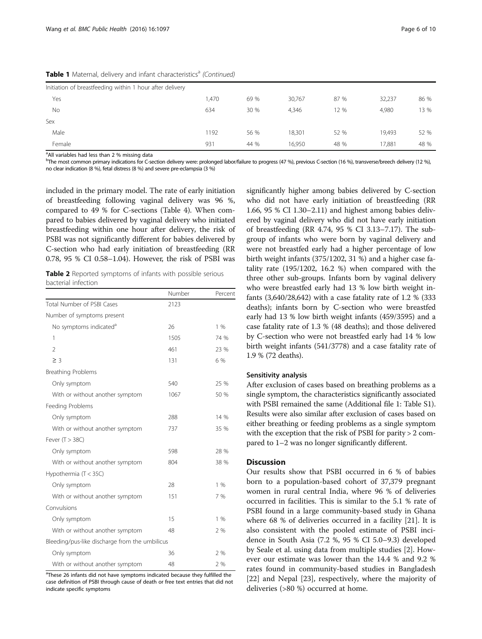|        | Initiation of breastfeeding within 1 hour after delivery |       |      |        |      |        |      |
|--------|----------------------------------------------------------|-------|------|--------|------|--------|------|
| Yes    |                                                          | 1,470 | 69 % | 30,767 | 87 % | 32,237 | 86 % |
| No     |                                                          | 634   | 30 % | 4,346  | 12 % | 4,980  | 13 % |
| Sex    |                                                          |       |      |        |      |        |      |
| Male   |                                                          | 1192  | 56 % | 18,301 | 52 % | 19,493 | 52 % |
| Female |                                                          | 931   | 44 % | 16.950 | 48 % | 17,881 | 48 % |

<span id="page-5-0"></span>Table 1 Maternal, delivery and infant characteristics<sup>a</sup> (Continued)

<sup>a</sup>All variables had less than 2 % missing data

b The most common primary indications for C-section delivery were: prolonged labor/failure to progress (47 %), previous C-section (16 %), transverse/breech delivery (12 %), no clear indication (8 %), fetal distress (8 %) and severe pre-eclampsia (3 %)

included in the primary model. The rate of early initiation of breastfeeding following vaginal delivery was 96 %, compared to 49 % for C-sections (Table [4\)](#page-7-0). When compared to babies delivered by vaginal delivery who initiated breastfeeding within one hour after delivery, the risk of PSBI was not significantly different for babies delivered by C-section who had early initiation of breastfeeding (RR 0.78, 95 % CI 0.58–1.04). However, the risk of PSBI was

Table 2 Reported symptoms of infants with possible serious bacterial infection

|                                                | Number | Percent |
|------------------------------------------------|--------|---------|
| Total Number of PSBI Cases                     | 2123   |         |
| Number of symptoms present                     |        |         |
| No symptoms indicated <sup>a</sup>             | 26     | 1%      |
| 1                                              | 1505   | 74 %    |
| $\overline{2}$                                 | 461    | 23 %    |
| $\geq$ 3                                       | 131    | 6 %     |
| <b>Breathing Problems</b>                      |        |         |
| Only symptom                                   | 540    | 25 %    |
| With or without another symptom                | 1067   | 50 %    |
| Feeding Problems                               |        |         |
| Only symptom                                   | 288    | 14 %    |
| With or without another symptom                | 737    | 35 %    |
| Fever $(T > 38C)$                              |        |         |
| Only symptom                                   | 598    | 28 %    |
| With or without another symptom                | 804    | 38 %    |
| Hypothermia (T < 35C)                          |        |         |
| Only symptom                                   | 28     | 1%      |
| With or without another symptom                | 151    | 7 %     |
| Convulsions                                    |        |         |
| Only symptom                                   | 15     | $1\%$   |
| With or without another symptom                | 48     | 2 %     |
| Bleeding/pus-like discharge from the umbilicus |        |         |
| Only symptom                                   | 36     | 2%      |
| With or without another symptom                | 48     | 2 %     |

<sup>a</sup>These 26 infants did not have symptoms indicated because they fulfilled the case definition of PSBI through cause of death or free text entries that did not indicate specific symptoms

significantly higher among babies delivered by C-section who did not have early initiation of breastfeeding (RR 1.66, 95 % CI 1.30–2.11) and highest among babies delivered by vaginal delivery who did not have early initiation of breastfeeding (RR 4.74, 95 % CI 3.13–7.17). The subgroup of infants who were born by vaginal delivery and were not breastfed early had a higher percentage of low birth weight infants (375/1202, 31 %) and a higher case fatality rate (195/1202, 16.2 %) when compared with the three other sub-groups. Infants born by vaginal delivery who were breastfed early had 13 % low birth weight infants (3,640/28,642) with a case fatality rate of 1.2 % (333 deaths); infants born by C-section who were breastfed early had 13 % low birth weight infants (459/3595) and a case fatality rate of 1.3 % (48 deaths); and those delivered by C-section who were not breastfed early had 14 % low birth weight infants (541/3778) and a case fatality rate of 1.9 % (72 deaths).

## Sensitivity analysis

After exclusion of cases based on breathing problems as a single symptom, the characteristics significantly associated with PSBI remained the same (Additional file [1](#page-8-0): Table S1). Results were also similar after exclusion of cases based on either breathing or feeding problems as a single symptom with the exception that the risk of PSBI for parity > 2 compared to 1–2 was no longer significantly different.

#### **Discussion**

Our results show that PSBI occurred in 6 % of babies born to a population-based cohort of 37,379 pregnant women in rural central India, where 96 % of deliveries occurred in facilities. This is similar to the 5.1 % rate of PSBI found in a large community-based study in Ghana where 68 % of deliveries occurred in a facility [\[21](#page-9-0)]. It is also consistent with the pooled estimate of PSBI incidence in South Asia (7.2 %, 95 % CI 5.0–9.3) developed by Seale et al. using data from multiple studies [\[2](#page-9-0)]. However our estimate was lower than the 14.4 % and 9.2 % rates found in community-based studies in Bangladesh [[22\]](#page-9-0) and Nepal [[23\]](#page-9-0), respectively, where the majority of deliveries (>80 %) occurred at home.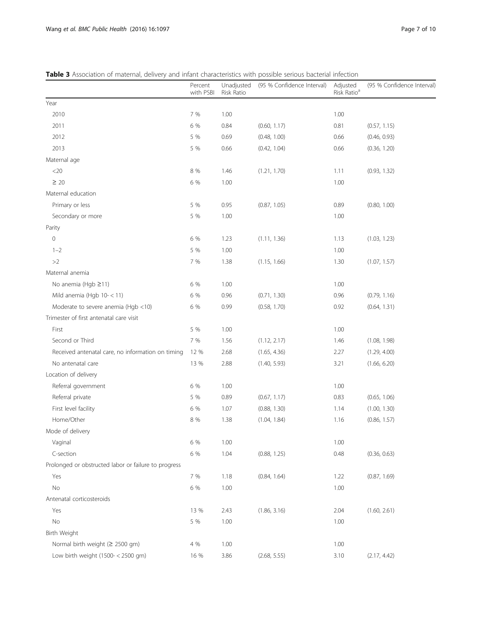<span id="page-6-0"></span>

|                                                      | Percent<br>with PSBI | Unadjusted<br>Risk Ratio | (95 % Confidence Interval) | Adjusted<br>Risk Ratio <sup>a</sup> | (95 % Confidence Interval) |
|------------------------------------------------------|----------------------|--------------------------|----------------------------|-------------------------------------|----------------------------|
| Year                                                 |                      |                          |                            |                                     |                            |
| 2010                                                 | 7 %                  | 1.00                     |                            | 1.00                                |                            |
| 2011                                                 | 6 %                  | 0.84                     | (0.60, 1.17)               | 0.81                                | (0.57, 1.15)               |
| 2012                                                 | 5 %                  | 0.69                     | (0.48, 1.00)               | 0.66                                | (0.46, 0.93)               |
| 2013                                                 | 5 %                  | 0.66                     | (0.42, 1.04)               | 0.66                                | (0.36, 1.20)               |
| Maternal age                                         |                      |                          |                            |                                     |                            |
| $<$ 20                                               | 8 %                  | 1.46                     | (1.21, 1.70)               | 1.11                                | (0.93, 1.32)               |
| $\geq 20$                                            | 6 %                  | 1.00                     |                            | 1.00                                |                            |
| Maternal education                                   |                      |                          |                            |                                     |                            |
| Primary or less                                      | 5 %                  | 0.95                     | (0.87, 1.05)               | 0.89                                | (0.80, 1.00)               |
| Secondary or more                                    | 5 %                  | 1.00                     |                            | 1.00                                |                            |
| Parity                                               |                      |                          |                            |                                     |                            |
| $\mathsf{O}\xspace$                                  | 6 %                  | 1.23                     | (1.11, 1.36)               | 1.13                                | (1.03, 1.23)               |
| $1 - 2$                                              | 5 %                  | 1.00                     |                            | 1.00                                |                            |
| ${>}2$                                               | 7 %                  | 1.38                     | (1.15, 1.66)               | 1.30                                | (1.07, 1.57)               |
| Maternal anemia                                      |                      |                          |                            |                                     |                            |
| No anemia (Hgb ≥11)                                  | 6 %                  | 1.00                     |                            | 1.00                                |                            |
| Mild anemia (Hgb 10- < 11)                           | 6 %                  | 0.96                     | (0.71, 1.30)               | 0.96                                | (0.79, 1.16)               |
| Moderate to severe anemia (Hgb <10)                  | 6 %                  | 0.99                     | (0.58, 1.70)               | 0.92                                | (0.64, 1.31)               |
| Trimester of first antenatal care visit              |                      |                          |                            |                                     |                            |
| First                                                | 5 %                  | 1.00                     |                            | 1.00                                |                            |
| Second or Third                                      | 7 %                  | 1.56                     | (1.12, 2.17)               | 1.46                                | (1.08, 1.98)               |
| Received antenatal care, no information on timing    | 12 %                 | 2.68                     | (1.65, 4.36)               | 2.27                                | (1.29, 4.00)               |
| No antenatal care                                    | 13 %                 | 2.88                     | (1.40, 5.93)               | 3.21                                | (1.66, 6.20)               |
| Location of delivery                                 |                      |                          |                            |                                     |                            |
| Referral government                                  | 6 %                  | 1.00                     |                            | 1.00                                |                            |
| Referral private                                     | 5 %                  | 0.89                     | (0.67, 1.17)               | 0.83                                | (0.65, 1.06)               |
| First level facility                                 | 6 %                  | 1.07                     | (0.88, 1.30)               | 1.14                                | (1.00, 1.30)               |
| Home/Other                                           | 8 %                  | 1.38                     | (1.04, 1.84)               | 1.16                                | (0.86, 1.57)               |
| Mode of delivery                                     |                      |                          |                            |                                     |                            |
| Vaginal                                              | 6 %                  | 1.00                     |                            | 1.00                                |                            |
| C-section                                            | 6 %                  | 1.04                     | (0.88, 1.25)               | 0.48                                | (0.36, 0.63)               |
| Prolonged or obstructed labor or failure to progress |                      |                          |                            |                                     |                            |
| Yes                                                  | 7 %                  | 1.18                     | (0.84, 1.64)               | 1.22                                | (0.87, 1.69)               |
| $\rm No$                                             | 6 %                  | 1.00                     |                            | 1.00                                |                            |
| Antenatal corticosteroids                            |                      |                          |                            |                                     |                            |
| Yes                                                  | 13 %                 | 2.43                     | (1.86, 3.16)               | 2.04                                | (1.60, 2.61)               |
| No                                                   | 5 %                  | 1.00                     |                            | 1.00                                |                            |
| Birth Weight                                         |                      |                          |                            |                                     |                            |
| Normal birth weight (≥ 2500 gm)                      | 4 %                  | 1.00                     |                            | 1.00                                |                            |
| Low birth weight (1500- < 2500 gm)                   | 16 %                 | 3.86                     | (2.68, 5.55)               | 3.10                                | (2.17, 4.42)               |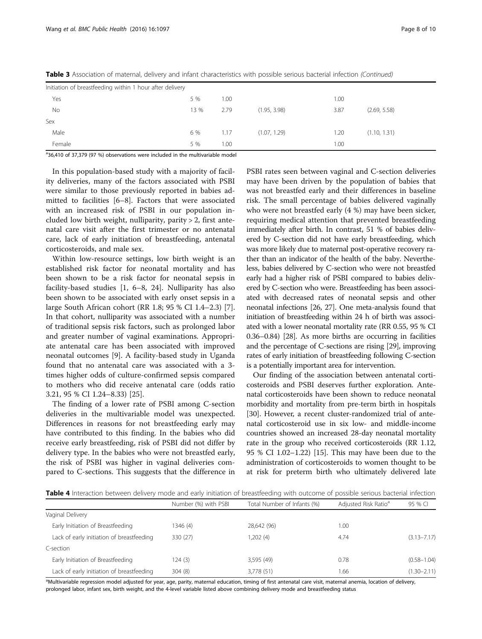| Initiation of breastfeeding within 1 hour after delivery |      |      |              |      |              |
|----------------------------------------------------------|------|------|--------------|------|--------------|
| Yes                                                      | 5 %  | 1.00 |              | 1.00 |              |
| No                                                       | 13 % | 2.79 | (1.95, 3.98) | 3.87 | (2.69, 5.58) |
| Sex                                                      |      |      |              |      |              |
| Male                                                     | 6 %  | 1.17 | (1.07, 1.29) | 1.20 | (1.10, 1.31) |
| Female                                                   | 5 %  | 1.00 |              | 1.00 |              |

<span id="page-7-0"></span>Table 3 Association of maternal, delivery and infant characteristics with possible serious bacterial infection (Continued)

<sup>a</sup>36,410 of 37,379 (97 %) observations were included in the multivariable model

In this population-based study with a majority of facility deliveries, many of the factors associated with PSBI were similar to those previously reported in babies admitted to facilities [\[6](#page-9-0)–[8\]](#page-9-0). Factors that were associated with an increased risk of PSBI in our population included low birth weight, nulliparity, parity > 2, first antenatal care visit after the first trimester or no antenatal care, lack of early initiation of breastfeeding, antenatal corticosteroids, and male sex.

Within low-resource settings, low birth weight is an established risk factor for neonatal mortality and has been shown to be a risk factor for neonatal sepsis in facility-based studies [[1, 6](#page-9-0)–[8, 24\]](#page-9-0). Nulliparity has also been shown to be associated with early onset sepsis in a large South African cohort (RR 1.8; 95 % CI 1.4–2.3) [\[7](#page-9-0)]. In that cohort, nulliparity was associated with a number of traditional sepsis risk factors, such as prolonged labor and greater number of vaginal examinations. Appropriate antenatal care has been associated with improved neonatal outcomes [\[9](#page-9-0)]. A facility-based study in Uganda found that no antenatal care was associated with a 3 times higher odds of culture-confirmed sepsis compared to mothers who did receive antenatal care (odds ratio 3.21, 95 % CI 1.24–8.33) [\[25\]](#page-9-0).

The finding of a lower rate of PSBI among C-section deliveries in the multivariable model was unexpected. Differences in reasons for not breastfeeding early may have contributed to this finding. In the babies who did receive early breastfeeding, risk of PSBI did not differ by delivery type. In the babies who were not breastfed early, the risk of PSBI was higher in vaginal deliveries compared to C-sections. This suggests that the difference in PSBI rates seen between vaginal and C-section deliveries may have been driven by the population of babies that was not breastfed early and their differences in baseline risk. The small percentage of babies delivered vaginally who were not breastfed early (4 %) may have been sicker, requiring medical attention that prevented breastfeeding immediately after birth. In contrast, 51 % of babies delivered by C-section did not have early breastfeeding, which was more likely due to maternal post-operative recovery rather than an indicator of the health of the baby. Nevertheless, babies delivered by C-section who were not breastfed early had a higher risk of PSBI compared to babies delivered by C-section who were. Breastfeeding has been associated with decreased rates of neonatal sepsis and other neonatal infections [\[26, 27\]](#page-9-0). One meta-analysis found that initiation of breastfeeding within 24 h of birth was associated with a lower neonatal mortality rate (RR 0.55, 95 % CI 0.36–0.84) [\[28](#page-9-0)]. As more births are occurring in facilities and the percentage of C-sections are rising [[29](#page-9-0)], improving rates of early initiation of breastfeeding following C-section is a potentially important area for intervention.

Our finding of the association between antenatal corticosteroids and PSBI deserves further exploration. Antenatal corticosteroids have been shown to reduce neonatal morbidity and mortality from pre-term birth in hospitals [[30](#page-9-0)]. However, a recent cluster-randomized trial of antenatal corticosteroid use in six low- and middle-income countries showed an increased 28-day neonatal mortality rate in the group who received corticosteroids (RR 1.12, 95 % CI 1.02–1.22) [[15](#page-9-0)]. This may have been due to the administration of corticosteroids to women thought to be at risk for preterm birth who ultimately delivered late

Table 4 Interaction between delivery mode and early initiation of breastfeeding with outcome of possible serious bacterial infection

|                                           | Number (%) with PSBI | Total Number of Infants (%) | Adjusted Risk Ratio <sup>a</sup> | 95 % CI         |
|-------------------------------------------|----------------------|-----------------------------|----------------------------------|-----------------|
| Vaginal Delivery                          |                      |                             |                                  |                 |
| Early Initiation of Breastfeeding         | 1346 (4)             | 28,642 (96)                 | 1.00                             |                 |
| Lack of early initiation of breastfeeding | 330 (27)             | 1,202 (4)                   | 4.74                             | $(3.13 - 7.17)$ |
| C-section                                 |                      |                             |                                  |                 |
| Early Initiation of Breastfeeding         | 124(3)               | 3,595 (49)                  | 0.78                             | $(0.58 - 1.04)$ |
| Lack of early initiation of breastfeeding | 304(8)               | 3,778 (51)                  | 1.66                             | $(1.30 - 2.11)$ |

a<br>Multivariable regression model adjusted for year, age, parity, maternal education, timing of first antenatal care visit, maternal anemia, location of delivery, prolonged labor, infant sex, birth weight, and the 4-level variable listed above combining delivery mode and breastfeeding status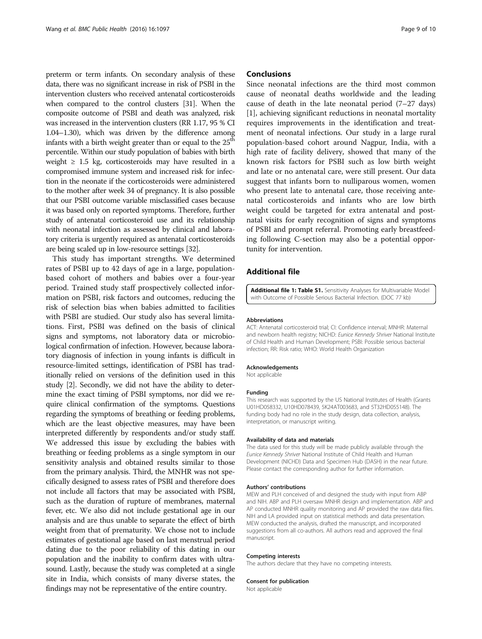<span id="page-8-0"></span>preterm or term infants. On secondary analysis of these data, there was no significant increase in risk of PSBI in the intervention clusters who received antenatal corticosteroids when compared to the control clusters [\[31](#page-9-0)]. When the composite outcome of PSBI and death was analyzed, risk was increased in the intervention clusters (RR 1.17, 95 % CI 1.04–1.30), which was driven by the difference among infants with a birth weight greater than or equal to the 25<sup>th</sup> percentile. Within our study population of babies with birth weight  $\geq$  1.5 kg, corticosteroids may have resulted in a compromised immune system and increased risk for infection in the neonate if the corticosteroids were administered to the mother after week 34 of pregnancy. It is also possible that our PSBI outcome variable misclassified cases because it was based only on reported symptoms. Therefore, further study of antenatal corticosteroid use and its relationship with neonatal infection as assessed by clinical and laboratory criteria is urgently required as antenatal corticosteroids are being scaled up in low-resource settings [[32](#page-9-0)].

This study has important strengths. We determined rates of PSBI up to 42 days of age in a large, populationbased cohort of mothers and babies over a four-year period. Trained study staff prospectively collected information on PSBI, risk factors and outcomes, reducing the risk of selection bias when babies admitted to facilities with PSBI are studied. Our study also has several limitations. First, PSBI was defined on the basis of clinical signs and symptoms, not laboratory data or microbiological confirmation of infection. However, because laboratory diagnosis of infection in young infants is difficult in resource-limited settings, identification of PSBI has traditionally relied on versions of the definition used in this study [\[2\]](#page-9-0). Secondly, we did not have the ability to determine the exact timing of PSBI symptoms, nor did we require clinical confirmation of the symptoms. Questions regarding the symptoms of breathing or feeding problems, which are the least objective measures, may have been interpreted differently by respondents and/or study staff. We addressed this issue by excluding the babies with breathing or feeding problems as a single symptom in our sensitivity analysis and obtained results similar to those from the primary analysis. Third, the MNHR was not specifically designed to assess rates of PSBI and therefore does not include all factors that may be associated with PSBI, such as the duration of rupture of membranes, maternal fever, etc. We also did not include gestational age in our analysis and are thus unable to separate the effect of birth weight from that of prematurity. We chose not to include estimates of gestational age based on last menstrual period dating due to the poor reliability of this dating in our population and the inability to confirm dates with ultrasound. Lastly, because the study was completed at a single site in India, which consists of many diverse states, the findings may not be representative of the entire country.

# **Conclusions**

Since neonatal infections are the third most common cause of neonatal deaths worldwide and the leading cause of death in the late neonatal period (7–27 days) [[1\]](#page-9-0), achieving significant reductions in neonatal mortality requires improvements in the identification and treatment of neonatal infections. Our study in a large rural population-based cohort around Nagpur, India, with a high rate of facility delivery, showed that many of the known risk factors for PSBI such as low birth weight and late or no antenatal care, were still present. Our data suggest that infants born to nulliparous women, women who present late to antenatal care, those receiving antenatal corticosteroids and infants who are low birth weight could be targeted for extra antenatal and postnatal visits for early recognition of signs and symptoms of PSBI and prompt referral. Promoting early breastfeeding following C-section may also be a potential opportunity for intervention.

# Additional file

[Additional file 1: Table S1.](dx.doi.org/10.1186/s12889-016-3688-3) Sensitivity Analyses for Multivariable Model with Outcome of Possible Serious Bacterial Infection. (DOC 77 kb)

#### Abbreviations

ACT: Antenatal corticosteroid trial; CI: Confidence interval; MNHR: Maternal and newborn health registry; NICHD: Eunice Kennedy Shriver National Institute of Child Health and Human Development; PSBI: Possible serious bacterial infection; RR: Risk ratio; WHO: World Health Organization

#### Acknowledgements

Not applicable

#### Funding

This research was supported by the US National Institutes of Health (Grants U01HD058332, U10HD078439, 5K24AT003683, and 5T32HD055148). The funding body had no role in the study design, data collection, analysis, interpretation, or manuscript writing.

#### Availability of data and materials

The data used for this study will be made publicly available through the Eunice Kennedy Shriver National Institute of Child Health and Human Development (NICHD) Data and Specimen Hub (DASH) in the near future. Please contact the corresponding author for further information.

#### Authors' contributions

MEW and PLH conceived of and designed the study with input from ABP and NIH. ABP and PLH oversaw MNHR design and implementation. ABP and AP conducted MNHR quality monitoring and AP provided the raw data files. NIH and LA provided input on statistical methods and data presentation. MEW conducted the analysis, drafted the manuscript, and incorporated suggestions from all co-authors. All authors read and approved the final manuscript.

#### Competing interests

The authors declare that they have no competing interests.

#### Consent for publication

Not applicable